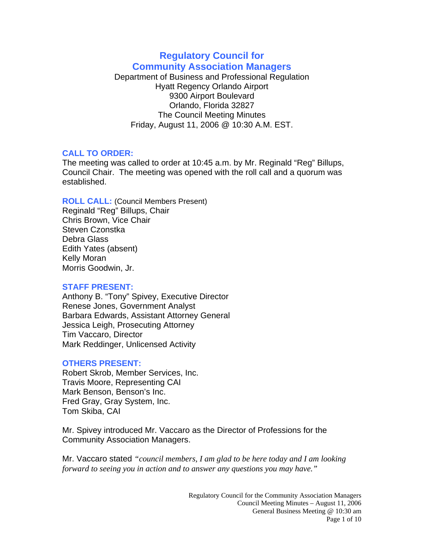# **Regulatory Council for Community Association Managers**

Department of Business and Professional Regulation Hyatt Regency Orlando Airport 9300 Airport Boulevard Orlando, Florida 32827 The Council Meeting Minutes Friday, August 11, 2006 @ 10:30 A.M. EST.

### **CALL TO ORDER:**

The meeting was called to order at 10:45 a.m. by Mr. Reginald "Reg" Billups, Council Chair. The meeting was opened with the roll call and a quorum was established.

**ROLL CALL:** (Council Members Present) Reginald "Reg" Billups, Chair Chris Brown, Vice Chair Steven Czonstka Debra Glass Edith Yates (absent) Kelly Moran Morris Goodwin, Jr.

### **STAFF PRESENT:**

Anthony B. "Tony" Spivey, Executive Director Renese Jones, Government Analyst Barbara Edwards, Assistant Attorney General Jessica Leigh, Prosecuting Attorney Tim Vaccaro, Director Mark Reddinger, Unlicensed Activity

## **OTHERS PRESENT:**

Robert Skrob, Member Services, Inc. Travis Moore, Representing CAI Mark Benson, Benson's Inc. Fred Gray, Gray System, Inc. Tom Skiba, CAI

Mr. Spivey introduced Mr. Vaccaro as the Director of Professions for the Community Association Managers.

Mr. Vaccaro stated *"council members, I am glad to be here today and I am looking forward to seeing you in action and to answer any questions you may have."*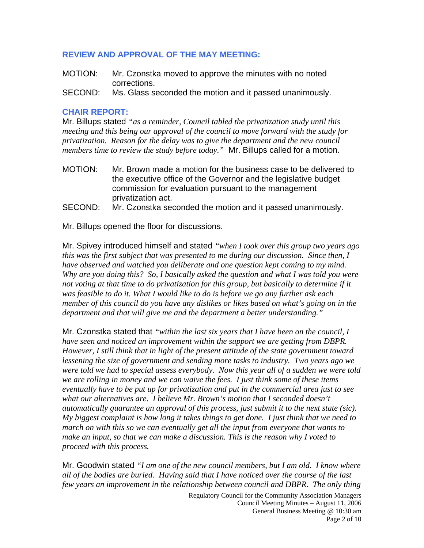### **REVIEW AND APPROVAL OF THE MAY MEETING:**

- MOTION: Mr. Czonstka moved to approve the minutes with no noted corrections.
- SECOND: Ms. Glass seconded the motion and it passed unanimously.

### **CHAIR REPORT:**

Mr. Billups stated *"as a reminder, Council tabled the privatization study until this meeting and this being our approval of the council to move forward with the study for privatization. Reason for the delay was to give the department and the new council members time to review the study before today."* Mr. Billups called for a motion.

- MOTION: Mr. Brown made a motion for the business case to be delivered to the executive office of the Governor and the legislative budget commission for evaluation pursuant to the management privatization act.
- SECOND: Mr. Czonstka seconded the motion and it passed unanimously.

Mr. Billups opened the floor for discussions.

Mr. Spivey introduced himself and stated *"when I took over this group two years ago this was the first subject that was presented to me during our discussion. Since then, I have observed and watched you deliberate and one question kept coming to my mind. Why are you doing this? So, I basically asked the question and what I was told you were not voting at that time to do privatization for this group, but basically to determine if it was feasible to do it. What I would like to do is before we go any further ask each member of this council do you have any dislikes or likes based on what's going on in the department and that will give me and the department a better understanding."* 

Mr. Czonstka stated that *"within the last six years that I have been on the council, I have seen and noticed an improvement within the support we are getting from DBPR. However, I still think that in light of the present attitude of the state government toward lessening the size of government and sending more tasks to industry. Two years ago we were told we had to special assess everybody. Now this year all of a sudden we were told we are rolling in money and we can waive the fees. I just think some of these items eventually have to be put up for privatization and put in the commercial area just to see what our alternatives are. I believe Mr. Brown's motion that I seconded doesn't automatically guarantee an approval of this process, just submit it to the next state (sic). My biggest complaint is how long it takes things to get done. I just think that we need to march on with this so we can eventually get all the input from everyone that wants to make an input, so that we can make a discussion. This is the reason why I voted to proceed with this process.* 

Mr. Goodwin stated *"I am one of the new council members, but I am old. I know where all of the bodies are buried. Having said that I have noticed over the course of the last few years an improvement in the relationship between council and DBPR. The only thing* 

> Regulatory Council for the Community Association Managers Council Meeting Minutes – August 11, 2006 General Business Meeting @ 10:30 am Page 2 of 10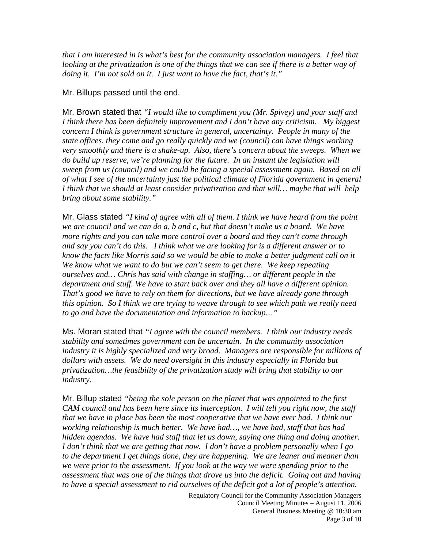*that I am interested in is what's best for the community association managers. I feel that looking at the privatization is one of the things that we can see if there is a better way of doing it. I'm not sold on it. I just want to have the fact, that's it."* 

#### Mr. Billups passed until the end.

Mr. Brown stated that *"I would like to compliment you (Mr. Spivey) and your staff and I think there has been definitely improvement and I don't have any criticism. My biggest concern I think is government structure in general, uncertainty. People in many of the state offices, they come and go really quickly and we (council) can have things working very smoothly and there is a shake-up. Also, there's concern about the sweeps. When we do build up reserve, we're planning for the future. In an instant the legislation will sweep from us (council) and we could be facing a special assessment again. Based on all of what I see of the uncertainty just the political climate of Florida government in general I think that we should at least consider privatization and that will… maybe that will help bring about some stability."*

Mr. Glass stated *"I kind of agree with all of them. I think we have heard from the point we are council and we can do a, b and c, but that doesn't make us a board. We have more rights and you can take more control over a board and they can't come through and say you can't do this. I think what we are looking for is a different answer or to know the facts like Morris said so we would be able to make a better judgment call on it We know what we want to do but we can't seem to get there. We keep repeating ourselves and… Chris has said with change in staffing… or different people in the department and stuff. We have to start back over and they all have a different opinion. That's good we have to rely on them for directions, but we have already gone through this opinion. So I think we are trying to weave through to see which path we really need to go and have the documentation and information to backup…"* 

Ms. Moran stated that *"I agree with the council members. I think our industry needs stability and sometimes government can be uncertain. In the community association industry it is highly specialized and very broad. Managers are responsible for millions of dollars with assets. We do need oversight in this industry especially in Florida but privatization…the feasibility of the privatization study will bring that stability to our industry.* 

Mr. Billup stated *"being the sole person on the planet that was appointed to the first CAM council and has been here since its interception. I will tell you right now, the staff that we have in place has been the most cooperative that we have ever had. I think our working relationship is much better. We have had…, we have had, staff that has had hidden agendas. We have had staff that let us down, saying one thing and doing another. I don't think that we are getting that now. I don't have a problem personally when I go to the department I get things done, they are happening. We are leaner and meaner than we were prior to the assessment. If you look at the way we were spending prior to the assessment that was one of the things that drove us into the deficit. Going out and having to have a special assessment to rid ourselves of the deficit got a lot of people's attention.*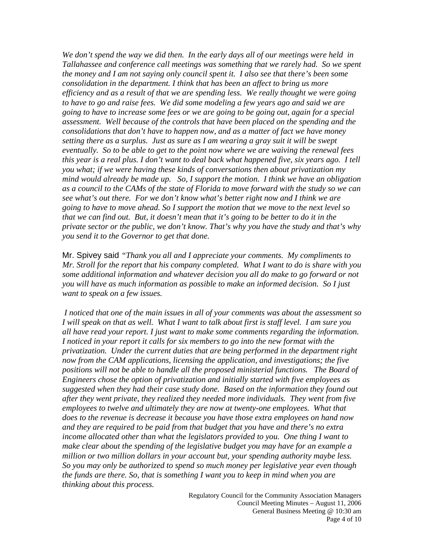*We don't spend the way we did then. In the early days all of our meetings were held in Tallahassee and conference call meetings was something that we rarely had. So we spent the money and I am not saying only council spent it. I also see that there's been some consolidation in the department. I think that has been an affect to bring us more efficiency and as a result of that we are spending less. We really thought we were going*  to have to go and raise fees. We did some modeling a few years ago and said we are *going to have to increase some fees or we are going to be going out, again for a special assessment. Well because of the controls that have been placed on the spending and the consolidations that don't have to happen now, and as a matter of fact we have money setting there as a surplus. Just as sure as I am wearing a gray suit it will be swept eventually. So to be able to get to the point now where we are waiving the renewal fees this year is a real plus. I don't want to deal back what happened five, six years ago. I tell you what; if we were having these kinds of conversations then about privatization my mind would already be made up. So, I support the motion. I think we have an obligation as a council to the CAMs of the state of Florida to move forward with the study so we can see what's out there. For we don't know what's better right now and I think we are going to have to move ahead. So I support the motion that we move to the next level so that we can find out. But, it doesn't mean that it's going to be better to do it in the private sector or the public, we don't know. That's why you have the study and that's why you send it to the Governor to get that done.* 

Mr. Spivey said *"Thank you all and I appreciate your comments. My compliments to Mr. Stroll for the report that his company completed. What I want to do is share with you some additional information and whatever decision you all do make to go forward or not you will have as much information as possible to make an informed decision. So I just want to speak on a few issues.* 

 *I noticed that one of the main issues in all of your comments was about the assessment so I will speak on that as well. What I want to talk about first is staff level. I am sure you all have read your report. I just want to make some comments regarding the information. I noticed in your report it calls for six members to go into the new format with the privatization. Under the current duties that are being performed in the department right now from the CAM applications, licensing the application, and investigations; the five positions will not be able to handle all the proposed ministerial functions. The Board of Engineers chose the option of privatization and initially started with five employees as suggested when they had their case study done. Based on the information they found out after they went private, they realized they needed more individuals. They went from five employees to twelve and ultimately they are now at twenty-one employees. What that does to the revenue is decrease it because you have those extra employees on hand now and they are required to be paid from that budget that you have and there's no extra income allocated other than what the legislators provided to you. One thing I want to make clear about the spending of the legislative budget you may have for an example a million or two million dollars in your account but, your spending authority maybe less. So you may only be authorized to spend so much money per legislative year even though the funds are there. So, that is something I want you to keep in mind when you are thinking about this process.*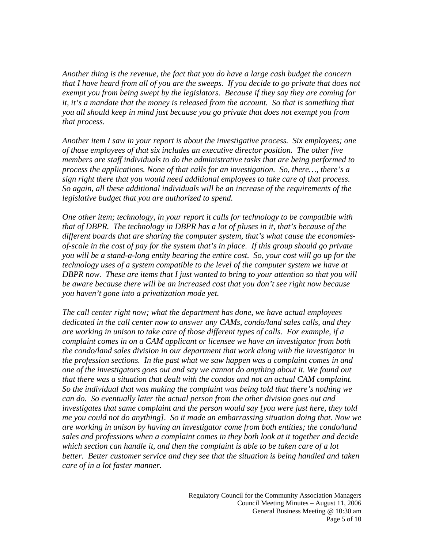*Another thing is the revenue, the fact that you do have a large cash budget the concern that I have heard from all of you are the sweeps. If you decide to go private that does not exempt you from being swept by the legislators. Because if they say they are coming for it, it's a mandate that the money is released from the account. So that is something that you all should keep in mind just because you go private that does not exempt you from that process.* 

*Another item I saw in your report is about the investigative process. Six employees; one of those employees of that six includes an executive director position. The other five members are staff individuals to do the administrative tasks that are being performed to process the applications. None of that calls for an investigation. So, there…, there's a sign right there that you would need additional employees to take care of that process. So again, all these additional individuals will be an increase of the requirements of the legislative budget that you are authorized to spend.* 

*One other item; technology, in your report it calls for technology to be compatible with that of DBPR. The technology in DBPR has a lot of pluses in it, that's because of the different boards that are sharing the computer system, that's what cause the economiesof-scale in the cost of pay for the system that's in place. If this group should go private you will be a stand-a-long entity bearing the entire cost. So, your cost will go up for the technology uses of a system compatible to the level of the computer system we have at DBPR now. These are items that I just wanted to bring to your attention so that you will be aware because there will be an increased cost that you don't see right now because you haven't gone into a privatization mode yet.* 

*The call center right now; what the department has done, we have actual employees dedicated in the call center now to answer any CAMs, condo/land sales calls, and they are working in unison to take care of those different types of calls. For example, if a complaint comes in on a CAM applicant or licensee we have an investigator from both the condo/land sales division in our department that work along with the investigator in the profession sections. In the past what we saw happen was a complaint comes in and one of the investigators goes out and say we cannot do anything about it. We found out that there was a situation that dealt with the condos and not an actual CAM complaint. So the individual that was making the complaint was being told that there's nothing we can do. So eventually later the actual person from the other division goes out and investigates that same complaint and the person would say [you were just here, they told me you could not do anything]. So it made an embarrassing situation doing that. Now we are working in unison by having an investigator come from both entities; the condo/land sales and professions when a complaint comes in they both look at it together and decide which section can handle it, and then the complaint is able to be taken care of a lot better. Better customer service and they see that the situation is being handled and taken care of in a lot faster manner.*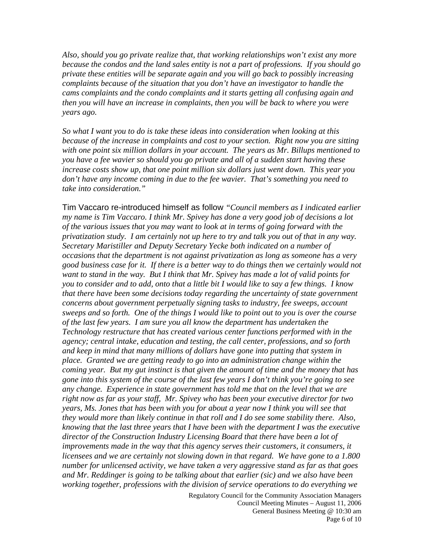*Also, should you go private realize that, that working relationships won't exist any more because the condos and the land sales entity is not a part of professions. If you should go private these entities will be separate again and you will go back to possibly increasing complaints because of the situation that you don't have an investigator to handle the cams complaints and the condo complaints and it starts getting all confusing again and then you will have an increase in complaints, then you will be back to where you were years ago.* 

*So what I want you to do is take these ideas into consideration when looking at this because of the increase in complaints and cost to your section. Right now you are sitting with one point six million dollars in your account. The years as Mr. Billups mentioned to you have a fee wavier so should you go private and all of a sudden start having these increase costs show up, that one point million six dollars just went down. This year you don't have any income coming in due to the fee wavier. That's something you need to take into consideration."* 

Tim Vaccaro re-introduced himself as follow *"Council members as I indicated earlier my name is Tim Vaccaro. I think Mr. Spivey has done a very good job of decisions a lot of the various issues that you may want to look at in terms of going forward with the privatization study. I am certainly not up here to try and talk you out of that in any way. Secretary Maristiller and Deputy Secretary Yecke both indicated on a number of occasions that the department is not against privatization as long as someone has a very good business case for it. If there is a better way to do things then we certainly would not want to stand in the way. But I think that Mr. Spivey has made a lot of valid points for you to consider and to add, onto that a little bit I would like to say a few things. I know that there have been some decisions today regarding the uncertainty of state government concerns about government perpetually signing tasks to industry, fee sweeps, account sweeps and so forth. One of the things I would like to point out to you is over the course of the last few years. I am sure you all know the department has undertaken the Technology restructure that has created various center functions performed with in the agency; central intake, education and testing, the call center, professions, and so forth and keep in mind that many millions of dollars have gone into putting that system in place. Granted we are getting ready to go into an administration change within the coming year. But my gut instinct is that given the amount of time and the money that has gone into this system of the course of the last few years I don't think you're going to see any change. Experience in state government has told me that on the level that we are right now as far as your staff, Mr. Spivey who has been your executive director for two years, Ms. Jones that has been with you for about a year now I think you will see that they would more than likely continue in that roll and I do see some stability there. Also, knowing that the last three years that I have been with the department I was the executive director of the Construction Industry Licensing Board that there have been a lot of improvements made in the way that this agency serves their customers, it consumers, it licensees and we are certainly not slowing down in that regard. We have gone to a 1.800 number for unlicensed activity, we have taken a very aggressive stand as far as that goes and Mr. Reddinger is going to be talking about that earlier (sic) and we also have been working together, professions with the division of service operations to do everything we* 

> Regulatory Council for the Community Association Managers Council Meeting Minutes – August 11, 2006 General Business Meeting @ 10:30 am Page 6 of 10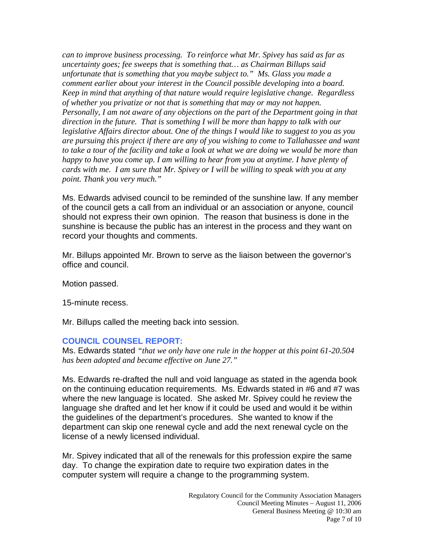*can to improve business processing. To reinforce what Mr. Spivey has said as far as uncertainty goes; fee sweeps that is something that… as Chairman Billups said unfortunate that is something that you maybe subject to." Ms. Glass you made a comment earlier about your interest in the Council possible developing into a board. Keep in mind that anything of that nature would require legislative change. Regardless of whether you privatize or not that is something that may or may not happen. Personally, I am not aware of any objections on the part of the Department going in that direction in the future. That is something I will be more than happy to talk with our legislative Affairs director about. One of the things I would like to suggest to you as you are pursuing this project if there are any of you wishing to come to Tallahassee and want to take a tour of the facility and take a look at what we are doing we would be more than happy to have you come up. I am willing to hear from you at anytime. I have plenty of cards with me. I am sure that Mr. Spivey or I will be willing to speak with you at any point. Thank you very much."* 

Ms. Edwards advised council to be reminded of the sunshine law. If any member of the council gets a call from an individual or an association or anyone, council should not express their own opinion. The reason that business is done in the sunshine is because the public has an interest in the process and they want on record your thoughts and comments.

Mr. Billups appointed Mr. Brown to serve as the liaison between the governor's office and council.

Motion passed.

15-minute recess.

Mr. Billups called the meeting back into session.

### **COUNCIL COUNSEL REPORT:**

Ms. Edwards stated *"that we only have one rule in the hopper at this point 61-20.504 has been adopted and became effective on June 27."* 

Ms. Edwards re-drafted the null and void language as stated in the agenda book on the continuing education requirements. Ms. Edwards stated in #6 and #7 was where the new language is located. She asked Mr. Spivey could he review the language she drafted and let her know if it could be used and would it be within the guidelines of the department's procedures. She wanted to know if the department can skip one renewal cycle and add the next renewal cycle on the license of a newly licensed individual.

Mr. Spivey indicated that all of the renewals for this profession expire the same day. To change the expiration date to require two expiration dates in the computer system will require a change to the programming system.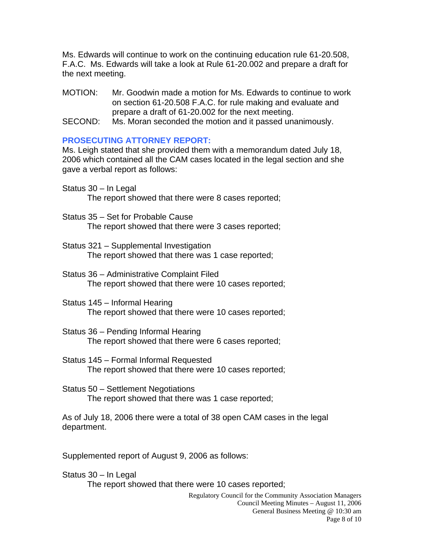Ms. Edwards will continue to work on the continuing education rule 61-20.508, F.A.C. Ms. Edwards will take a look at Rule 61-20.002 and prepare a draft for the next meeting.

- MOTION: Mr. Goodwin made a motion for Ms. Edwards to continue to work on section 61-20.508 F.A.C. for rule making and evaluate and prepare a draft of 61-20.002 for the next meeting.
- SECOND: Ms. Moran seconded the motion and it passed unanimously.

## **PROSECUTING ATTORNEY REPORT:**

Ms. Leigh stated that she provided them with a memorandum dated July 18, 2006 which contained all the CAM cases located in the legal section and she gave a verbal report as follows:

Status 30 – In Legal

The report showed that there were 8 cases reported;

- Status 35 Set for Probable Cause The report showed that there were 3 cases reported;
- Status 321 Supplemental Investigation The report showed that there was 1 case reported;
- Status 36 Administrative Complaint Filed The report showed that there were 10 cases reported;
- Status 145 Informal Hearing The report showed that there were 10 cases reported;
- Status 36 Pending Informal Hearing The report showed that there were 6 cases reported;
- Status 145 Formal Informal Requested The report showed that there were 10 cases reported;
- Status 50 Settlement Negotiations The report showed that there was 1 case reported;

As of July 18, 2006 there were a total of 38 open CAM cases in the legal department.

Supplemented report of August 9, 2006 as follows:

Status 30 – In Legal

The report showed that there were 10 cases reported;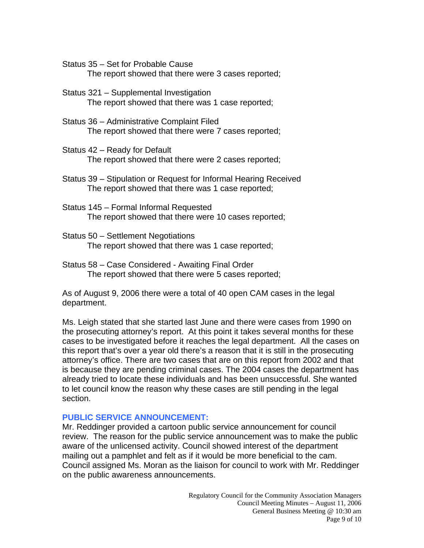Status 35 – Set for Probable Cause

The report showed that there were 3 cases reported;

- Status 321 Supplemental Investigation The report showed that there was 1 case reported;
- Status 36 Administrative Complaint Filed The report showed that there were 7 cases reported;
- Status 42 Ready for Default The report showed that there were 2 cases reported;
- Status 39 Stipulation or Request for Informal Hearing Received The report showed that there was 1 case reported;
- Status 145 Formal Informal Requested The report showed that there were 10 cases reported;
- Status 50 Settlement Negotiations The report showed that there was 1 case reported;
- Status 58 Case Considered Awaiting Final Order The report showed that there were 5 cases reported;

As of August 9, 2006 there were a total of 40 open CAM cases in the legal department.

Ms. Leigh stated that she started last June and there were cases from 1990 on the prosecuting attorney's report. At this point it takes several months for these cases to be investigated before it reaches the legal department. All the cases on this report that's over a year old there's a reason that it is still in the prosecuting attorney's office. There are two cases that are on this report from 2002 and that is because they are pending criminal cases. The 2004 cases the department has already tried to locate these individuals and has been unsuccessful. She wanted to let council know the reason why these cases are still pending in the legal section.

## **PUBLIC SERVICE ANNOUNCEMENT:**

Mr. Reddinger provided a cartoon public service announcement for council review. The reason for the public service announcement was to make the public aware of the unlicensed activity. Council showed interest of the department mailing out a pamphlet and felt as if it would be more beneficial to the cam. Council assigned Ms. Moran as the liaison for council to work with Mr. Reddinger on the public awareness announcements.